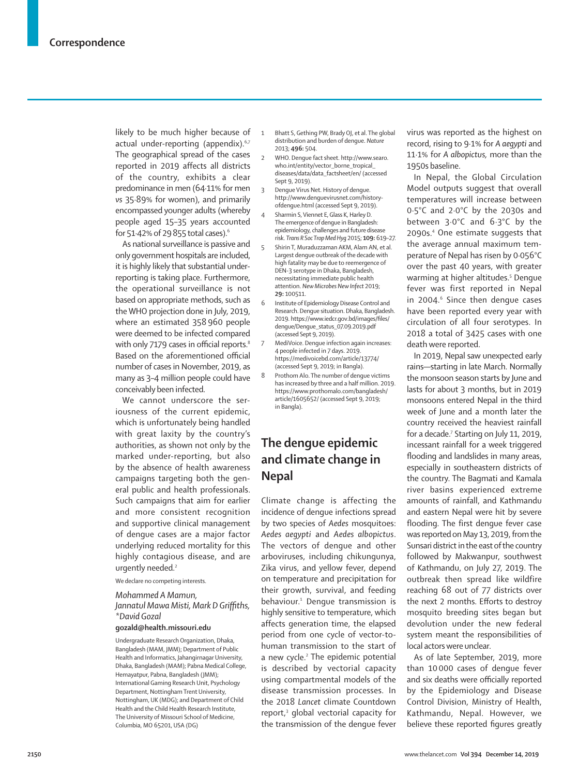likely to be much higher because of actual under-reporting (appendix).<sup>6,7</sup> The geographical spread of the cases reported in 2019 affects all districts of the country, exhibits a clear predominance in men (64·11% for men *vs* 35·89% for women), and primarily encompassed younger adults (whereby people aged 15–35 years accounted for 51·42% of 29855 total cases).6

As national surveillance is passive and only government hospitals are included, it is highly likely that substantial underreporting is taking place. Furthermore, the operational surveillance is not based on appropriate methods, such as the WHO projection done in July, 2019, where an estimated 358 960 people were deemed to be infected compared with only 7179 cases in official reports.<sup>8</sup> Based on the aforementioned official number of cases in November, 2019, as many as 3–4 million people could have conceivably been infected.

We cannot underscore the seriousness of the current epidemic, which is unfortunately being handled with great laxity by the country's authorities, as shown not only by the marked under-reporting, but also by the absence of health awareness campaigns targeting both the general public and health professionals. Such campaigns that aim for earlier and more consistent recognition and supportive clinical management of dengue cases are a major factor underlying reduced mortality for this highly contagious disease, and are urgently needed.<sup>2</sup>

We declare no competing interests.

## *Mohammed A Mamun, Jannatul Mawa Misti, Mark D Griffiths, \*David Gozal*

**gozald@health.missouri.edu**

Undergraduate Research Organization, Dhaka, Bangladesh (MAM, JMM); Department of Public Health and Informatics, Jahangirnagar University, Dhaka, Bangladesh (MAM); Pabna Medical College, Hemayatpur, Pabna, Bangladesh (JMM); International Gaming Research Unit, Psychology Department, Nottingham Trent University, Nottingham, UK (MDG); and Department of Child Health and the Child Health Research Institute, The University of Missouri School of Medicine, Columbia, MO 65201, USA (DG)

- 1 Bhatt S, Gething PW, Brady OJ, et al. The global distribution and burden of dengue. *Nature* 2013; **496:** 504.
- 2 WHO. Dengue fact sheet. http://www.searo. who.int/entity/vector\_borne\_tropical diseases/data/data\_factsheet/en/ (accessed Sept 9, 2019).
- 3 Dengue Virus Net. History of dengue. http://www.denguevirusnet.com/historyofdengue.html (accessed Sept 9, 2019).
- Sharmin S, Viennet E, Glass K, Harley D. The emergence of dengue in Bangladesh: epidemiology, challenges and future disease risk. *Trans R Soc Trop Med Hyg* 2015; **109:** 619–27.
- 5 Shirin T, Muraduzzaman AKM, Alam AN, et al. Largest dengue outbreak of the decade with high fatality may be due to reemergence of DEN-3 serotype in Dhaka, Bangladesh, necessitating immediate public health attention. *New Microbes New Infect* 2019; **29:** 100511.
- 6 Institute of Epidemiology Disease Control and Research. Dengue situation. Dhaka, Bangladesh. 2019. https://www.iedcr.gov.bd/images/files/ dengue/Dengue\_status\_07.09.2019.pdf (accessed Sept 9, 2019).
- 7 MediVoice. Dengue infection again increases: 4 people infected in 7 days. 2019. https://medivoicebd.com/article/13774/ (accessed Sept 9, 2019; in Bangla).
- 8 Prothom Alo. The number of dengue victims has increased by three and a half million. 2019. https://www.prothomalo.com/bangladesh/ article/1605652/ (accessed Sept 9, 2019; in Bangla).

## **The dengue epidemic and climate change in Nepal**

Climate change is affecting the incidence of dengue infections spread by two species of *Aedes* mosquitoes: *Aedes aegypti* and *Aedes albopictus*. The vectors of dengue and other arboviruses, including chikungunya, Zika virus, and yellow fever, depend on temperature and precipitation for their growth, survival, and feeding behaviour.<sup>1</sup> Dengue transmission is highly sensitive to temperature, which affects generation time, the elapsed period from one cycle of vector-tohuman transmission to the start of a new cycle.<sup>2</sup> The epidemic potential is described by vectorial capacity using compartmental models of the disease transmission processes. In the 2018 *Lancet* climate Countdown report,<sup>3</sup> global vectorial capacity for the transmission of the dengue fever

virus was reported as the highest on record, rising to 9·1% for *A aegypti* and 11·1% for *A albopictus,* more than the 1950s baseline.

In Nepal, the Global Circulation Model outputs suggest that overall temperatures will increase between 0·5°C and 2·0°C by the 2030s and between 3·0°C and 6·3°C by the 2090s.4 One estimate suggests that the average annual maximum temperature of Nepal has risen by 0·056°C over the past 40 years, with greater warming at higher altitudes.<sup>5</sup> Dengue fever was first reported in Nepal in 2004.<sup>6</sup> Since then dengue cases have been reported every year with circulation of all four serotypes. In 2018 a total of 3425 cases with one death were reported.

In 2019, Nepal saw unexpected early rains—starting in late March. Normally the monsoon season starts by June and lasts for about 3 months, but in 2019 monsoons entered Nepal in the third week of June and a month later the country received the heaviest rainfall for a decade.<sup>7</sup> Starting on July 11, 2019, incessant rainfall for a week triggered flooding and landslides in many areas, especially in southeastern districts of the country. The Bagmati and Kamala river basins experienced extreme amounts of rainfall, and Kathmandu and eastern Nepal were hit by severe flooding. The first dengue fever case was reported on May 13, 2019, from the Sunsari district in the east of the country followed by Makwanpur, southwest of Kathmandu, on July 27, 2019. The outbreak then spread like wildfire reaching 68 out of 77 districts over the next 2 months. Efforts to destroy mosquito breeding sites began but devolution under the new federal system meant the responsibilities of local actors were unclear.

As of late September, 2019, more than 10 000 cases of dengue fever and six deaths were officially reported by the Epidemiology and Disease Control Division, Ministry of Health, Kathmandu, Nepal. However, we believe these reported figures greatly